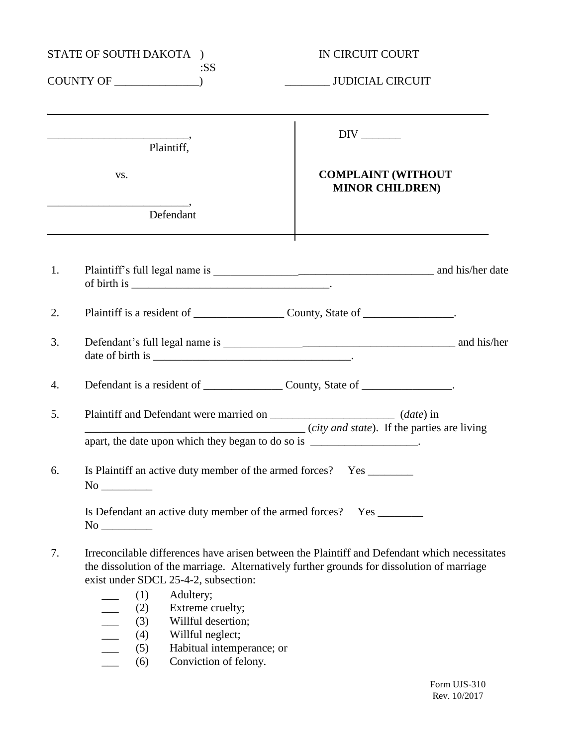| STATE OF SOUTH DAKOTA ) |                                                                                                                                                                                                             | IN CIRCUIT COURT                                                                                                                                                                            |
|-------------------------|-------------------------------------------------------------------------------------------------------------------------------------------------------------------------------------------------------------|---------------------------------------------------------------------------------------------------------------------------------------------------------------------------------------------|
|                         | :SS<br>$COUNTY OF$ $\qquad \qquad$                                                                                                                                                                          | JUDICIAL CIRCUIT                                                                                                                                                                            |
|                         | Plaintiff,                                                                                                                                                                                                  |                                                                                                                                                                                             |
|                         | VS.                                                                                                                                                                                                         | <b>COMPLAINT (WITHOUT</b><br><b>MINOR CHILDREN)</b>                                                                                                                                         |
|                         | Defendant                                                                                                                                                                                                   |                                                                                                                                                                                             |
| 1.                      |                                                                                                                                                                                                             |                                                                                                                                                                                             |
| 2.                      |                                                                                                                                                                                                             |                                                                                                                                                                                             |
| 3.                      |                                                                                                                                                                                                             |                                                                                                                                                                                             |
| 4.                      |                                                                                                                                                                                                             |                                                                                                                                                                                             |
| 5.                      | Plaintiff and Defendant were married on _________________________ (date) in<br><i>city and state</i> ). If the parties are living<br>apart, the date upon which they began to do so is ___________________. |                                                                                                                                                                                             |
|                         | 6. Is Plaintiff an active duty member of the armed forces? Yes _________                                                                                                                                    |                                                                                                                                                                                             |
|                         | Is Defendant an active duty member of the armed forces? Yes _________                                                                                                                                       |                                                                                                                                                                                             |
| 7.                      | exist under SDCL 25-4-2, subsection:<br>(1)<br>Adultery;<br>Extreme cruelty;<br>(2)                                                                                                                         | Irreconcilable differences have arisen between the Plaintiff and Defendant which necessitates<br>the dissolution of the marriage. Alternatively further grounds for dissolution of marriage |

- $(3)$  Willful desertion;<br> $(4)$  Willful neglect;
- \_\_\_ (4) Willful neglect;
- \_\_\_ (5) Habitual intemperance; or
- \_\_\_ (6) Conviction of felony.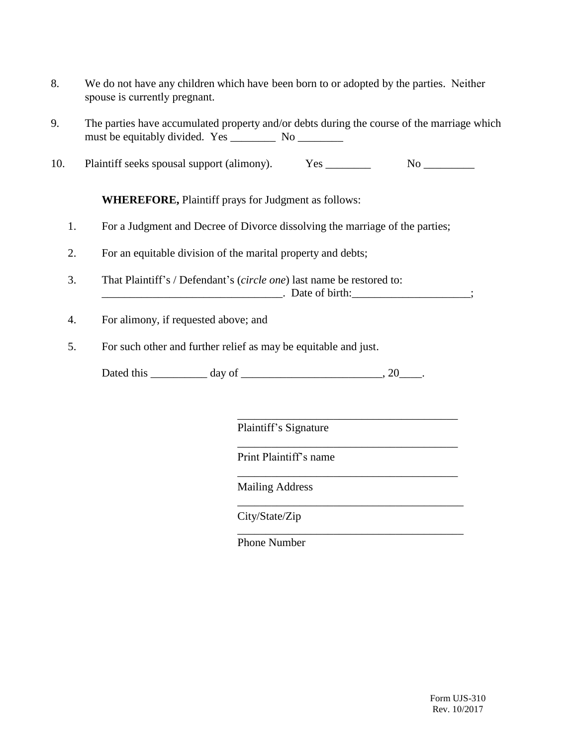- 8. We do not have any children which have been born to or adopted by the parties. Neither spouse is currently pregnant.
- 9. The parties have accumulated property and/or debts during the course of the marriage which must be equitably divided. Yes \_\_\_\_\_\_\_\_\_ No \_\_\_\_\_\_\_\_\_
- 10. Plaintiff seeks spousal support (alimony). Yes \_\_\_\_\_\_\_\_ No \_\_\_\_\_\_\_\_\_

**WHEREFORE,** Plaintiff prays for Judgment as follows:

- 1. For a Judgment and Decree of Divorce dissolving the marriage of the parties;
- 2. For an equitable division of the marital property and debts;
- 3. That Plaintiff's / Defendant's (*circle one*) last name be restored to:

\_\_\_\_\_\_\_\_\_\_\_\_\_\_\_\_\_\_\_\_\_\_\_\_\_\_\_\_\_\_\_\_. Date of birth:\_\_\_\_\_\_\_\_\_\_\_\_\_\_\_\_\_\_\_\_\_;

\_\_\_\_\_\_\_\_\_\_\_\_\_\_\_\_\_\_\_\_\_\_\_\_\_\_\_\_\_\_\_\_\_\_\_\_\_\_\_

\_\_\_\_\_\_\_\_\_\_\_\_\_\_\_\_\_\_\_\_\_\_\_\_\_\_\_\_\_\_\_\_\_\_\_\_\_\_\_

\_\_\_\_\_\_\_\_\_\_\_\_\_\_\_\_\_\_\_\_\_\_\_\_\_\_\_\_\_\_\_\_\_\_\_\_\_\_\_

\_\_\_\_\_\_\_\_\_\_\_\_\_\_\_\_\_\_\_\_\_\_\_\_\_\_\_\_\_\_\_\_\_\_\_\_\_\_\_\_

\_\_\_\_\_\_\_\_\_\_\_\_\_\_\_\_\_\_\_\_\_\_\_\_\_\_\_\_\_\_\_\_\_\_\_\_\_\_\_\_

- 4. For alimony, if requested above; and
- 5. For such other and further relief as may be equitable and just.

Dated this \_\_\_\_\_\_\_\_\_\_ day of \_\_\_\_\_\_\_\_\_\_\_\_\_\_\_\_\_\_\_\_\_\_\_\_\_, 20\_\_\_\_.

Plaintiff's Signature

Print Plaintiff's name

Mailing Address

City/State/Zip

Phone Number